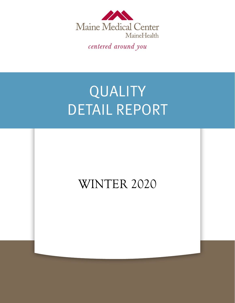

centered around you

# QUALITY DETAIL REPORT

## WINTER 2020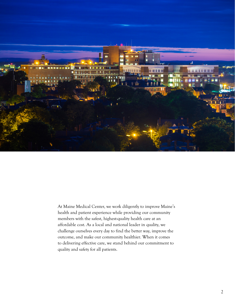

At Maine Medical Center, we work diligently to improve Maine's health and patient experience while providing our community members with the safest, highest-quality health care at an affordable cost. As a local and national leader in quality, we challenge ourselves every day to find the better way, improve the outcome, and make our community healthier. When it comes to delivering effective care, we stand behind our commitment to quality and safety for all patients.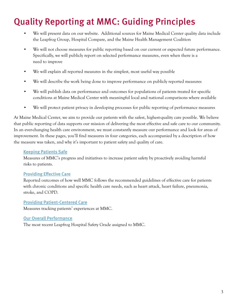## Quality Reporting at MMC: Guiding Principles

- We will present data on our website. Additional sources for Maine Medical Center quality data include the Leapfrog Group, Hospital Compare, and the Maine Health Management Coalition
- We will not choose measures for public reporting based on our current or expected future performance. Specifically, we will publicly report on selected performance measures, even when there is a need to improve
- We will explain all reported measures in the simplest, most useful way possible
- We will describe the work being done to improve performance on publicly reported measures
- We will publish data on performance and outcomes for populations of patients treated for specific conditions at Maine Medical Center with meaningful local and national comparisons where available
- We will protect patient privacy in developing processes for public reporting of performance measures

At Maine Medical Center, we aim to provide our patients with the safest, highest-quality care possible. We believe that public reporting of data supports our mission of delivering the most effective and safe care to our community. In an ever-changing health care environment, we must constantly measure our performance and look for areas of improvement. In these pages, you'll find measures in four categories, each accompanied by a description of how the measure was taken, and why it's important to patient safety and quality of care.

### [Keeping Patients Safe](#page-3-0)

Measures of MMC's progress and initiatives to increase patient safety by proactively avoiding harmful risks to patients.

### [Providing Effective Care](#page-4-0)

Reported outcomes of how well MMC follows the recommended guidelines of effective care for patients with chronic conditions and specific health care needs, such as heart attack, heart failure, pneumonia, stroke, and COPD.

### [Providing Patient-Centered Care](#page-5-0)

Measures tracking patients' experiences at MMC.

### [Our Overall Performance](#page-6-0)

The most recent Leapfrog Hospital Safety Grade assigned to MMC.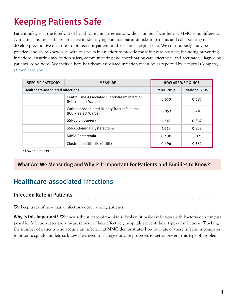## <span id="page-3-0"></span>Keeping Patients Safe

Patient safety is at the forefront of health care initiatives nationwide – and our focus here at MMC is no different. Our clinicians and staff are proactive in identifying potential harmful risks to patients and collaborating to develop preventative measures to protect our patients and keep our hospital safe. We continuously study best practices and share knowledge with our peers in an effort to provide the safest care possible, including preventing infections, ensuring medication safety, communicating and coordinating care effectively, and accurately diagnosing patients' conditions. We include here healthcare-associated infection measures as reported by Hospital Compare, at **[medicare.gov](http://medicare.gov)**.

| <b>SPECIFIC CATEGORY</b>                | <b>MEASURE</b>                                                              | <b>HOW ARE WE DOING?</b> |               |
|-----------------------------------------|-----------------------------------------------------------------------------|--------------------------|---------------|
| <b>Healthcare-associated Infections</b> |                                                                             | <b>MMC 2019</b>          | National 2019 |
|                                         | Central Line Associated Bloodstream Infection<br>(ICU + select Wards)       | 0.650                    | 0.685         |
|                                         | <b>Catheter Associated Urinary Tract Infections</b><br>(ICU + select Wards) | 0.859                    | 0.718         |
|                                         | <b>SSI-Colon Surgery</b>                                                    | 1.645                    | 0.867         |
|                                         | SSI-Abdominal Hysterectomy                                                  | 1.663                    | 0.928         |
|                                         | <b>MRSA Bacteremia</b>                                                      | 0.480                    | 0.821         |
|                                         | Clostridium Difficile (C.Diff)                                              | 0.496                    | 0.582         |

\* Lower is better

### What Are We Measuring and Why Is It Important For Patients and Families to Know?

## Healthcare-associated Infections

### Infection Rate in Patients

We keep track of how many infections occur among patients.

Why is this important? Whenever the surface of the skin is broken, it makes infection (with bacteria or a fungus) possible. Infection rates are a measurement of how effectively hospitals prevent these types of infections. Tracking the number of patients who acquire an infection at MMC demonstrates how our rate of these infections compares to other hospitals and lets us know if we need to change our care processes to better prevent this type of problem.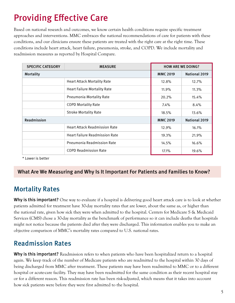## <span id="page-4-0"></span>Providing Effective Care

Based on national research and outcomes, we know certain health conditions require specific treatment approaches and interventions. MMC embraces the national recommendations of care for patients with these conditions, and our clinicians ensure these patients are treated with the right care at the right time. These conditions include heart attack, heart failure, pneumonia, stroke, and COPD. We include mortality and readmission measures as reported by Hospital Compare.

| <b>SPECIFIC CATEGORY</b> | <b>MEASURE</b>                        | <b>HOW ARE WE DOING?</b> |                      |
|--------------------------|---------------------------------------|--------------------------|----------------------|
| Mortality                |                                       | <b>MMC 2019</b>          | <b>National 2019</b> |
|                          | <b>Heart Attack Mortality Rate</b>    | 12.8%                    | 12.7%                |
|                          | <b>Heart Failure Mortality Rate</b>   | 11.9%                    | $11.3\%$             |
|                          | Pneumonia Mortality Rate              | 20.2%                    | 15.4%                |
|                          | <b>COPD Mortality Rate</b>            | $7.4\%$                  | 8.4%                 |
|                          | <b>Stroke Mortality Rate</b>          | 18.5%                    | 13.6%                |
| Readmission              |                                       | <b>MMC 2019</b>          | National 2019        |
|                          | <b>Heart Attack Readmission Rate</b>  | 12.9%                    | 16.1%                |
|                          | <b>Heart Failure Readmission Rate</b> | 19.3%                    | 21.9%                |
|                          | Pneumonia Readmission Rate            | 14.5%                    | 16.6%                |
|                          | <b>COPD Readmission Rate</b>          | 17.1%                    | 19.6%                |

\* Lower is better

### What Are We Measuring and Why Is It Important For Patients and Families to Know?

## Mortality Rates

Why is this important? One way to evaluate if a hospital is delivering good heart attack care is to look at whether patients admitted for treatment have 30-day mortality rates that are lower, about the same as, or higher than the national rate, given how sick they were when admitted to the hospital. Centers for Medicare S & Medicaid Services (CMS) chose a 30-day mortality as the benchmark of performance so it can include deaths that hospitals might not notice because the patients died after they were discharged. This information enables you to make an objective comparison of MMC's mortality rates compared to U.S. national rates.

## Readmission Rates

**Why is this important?** Readmission refers to when patients who have been hospitalized return to a hospital again. We keep track of the number of Medicare patients who are readmitted to the hospital within 30 days of being discharged from MMC after treatment. These patients may have been readmitted to MMC or to a different hospital or acute-care facility. They may have been readmitted for the same condition as their recent hospital stay or for a different reason. This readmission rate has been risk-adjusted, which means that it takes into account how sick patients were before they were first admitted to the hospital.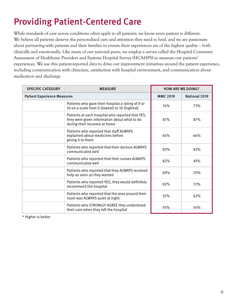## <span id="page-5-0"></span>Providing Patient-Centered Care

While standards of care across conditions often apply to all patients, we know every patient is different. We believe all patients deserve the personalized care and attention they need to heal, and we are passionate about partnering with patients and their families to ensure their experiences are of the highest quality – both clinically and emotionally. Like many of our national peers, we employ a survey called the Hospital Consumer Assessment of Healthcare Providers and Systems Hospital Survey (HCAHPS) to measure our patients' experiences. We use this patient-reported data to drive our improvement initiatives around the patient experience, including communication with clinicians, satisfaction with hospital environment, and communication about medication and discharge.

| <b>SPECIFIC CATEGORY</b>           | <b>MEASURE</b>                                                                                                                    | <b>HOW ARE WE DOING?</b> |                      |
|------------------------------------|-----------------------------------------------------------------------------------------------------------------------------------|--------------------------|----------------------|
| <b>Patient Experience Measures</b> |                                                                                                                                   | <b>MMC 2019</b>          | <b>National 2019</b> |
|                                    | Patients who gave their hospital a rating of 9 or<br>10 on a scale from 0 (lowest) to 10 (highest)                                | 74%                      | 73%                  |
|                                    | Patients at each hospital who reported that YES,<br>they were given information about what to do<br>during their recovery at home | 87%                      | 87%                  |
|                                    | Patients who reported that staff ALWAYS<br>explained about medicines before<br>giving it to them                                  | 65%                      | 66%                  |
|                                    | Patients who reported that their doctors ALWAYS<br>communicated well                                                              | 82%                      | 82%                  |
|                                    | Patients who reported that their nurses ALWAYS<br>communicated well                                                               | 82%                      | 81%                  |
|                                    | Patients who reported that they ALWAYS received<br>help as soon as they wanted                                                    | 69%                      | 70%                  |
|                                    | Patients who reported YES, they would definitely<br>recommend the hospital                                                        | 82%                      | 72%                  |
|                                    | Patients who reported that the area around their<br>room was ALWAYS quiet at night                                                | 52%                      | 62%                  |
|                                    | Patients who STRONGLY AGREE they understood<br>their care when they left the hospital                                             | 55%                      | 54%                  |

\* Higher is better